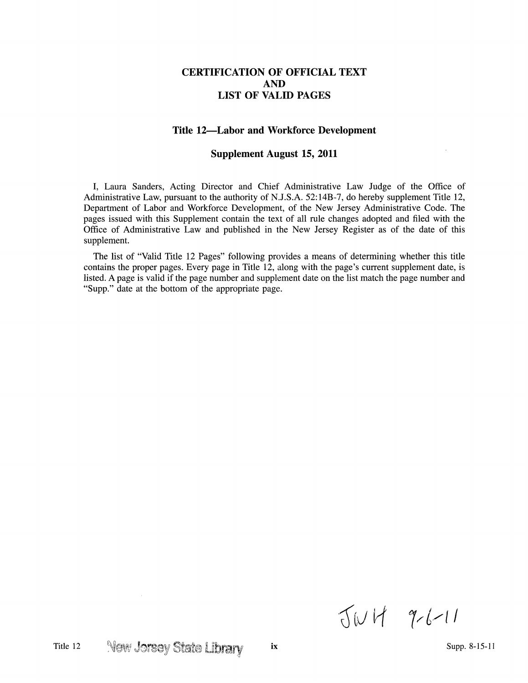## **CERTIFICATION OF OFFICIAL TEXT AND LIST OF VALID PAGES**

## **Title 12-Labor and Workforce Development**

## **Supplement August 15, 2011**

I, Laura Sanders, Acting Director and Chief Administrative Law Judge of the Office of Administrative Law, pursuant to the authority of N.J.S.A. 52:14B-7, do hereby supplement Title 12, Department of Labor and Workforce Development, of the New Jersey Administrative Code. The pages issued with this Supplement contain the text of all rule changes adopted and filed with the Office of Administrative Law and published in the New Jersey Register as of the date of this supplement.

The list of "Valid Title 12 Pages" following provides a means of determining whether this title contains the proper pages. Every page in Title 12, along with the page's current supplement date, is listed. A page is valid if the page number and supplement date on the list match the page number and "Supp." date at the bottom of the appropriate page.

 $JWH$  9-6-11

 $\sim 10$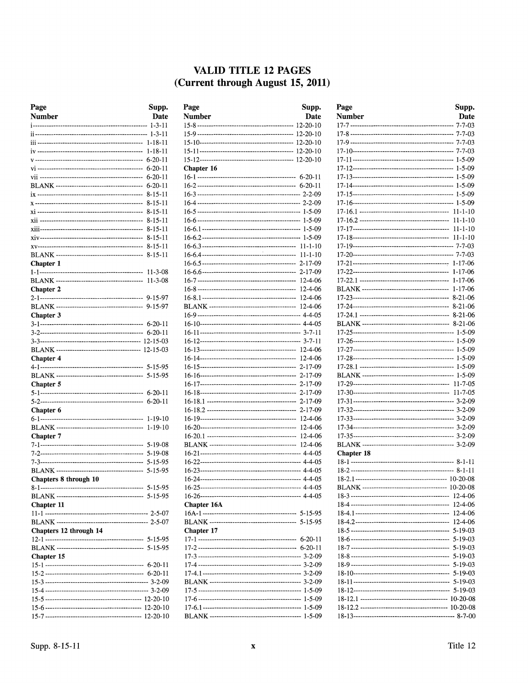## VALID TITLE 12 PAGES (Current through August 15, 2011)

| Page                   | Supp.         |
|------------------------|---------------|
| <b>Number</b>          | Date          |
|                        | $1 - 3 - 11$  |
|                        | $1 - 3 - 11$  |
|                        | 1-18-11       |
|                        | $1 - 18 - 11$ |
|                        | $6-20-11$     |
|                        | 6-20-11       |
|                        | 6-20-11       |
|                        | $6 - 20 - 11$ |
|                        | 8-15-11       |
|                        | 8-15-11       |
|                        | $8 - 15 - 11$ |
|                        | 8-15-11       |
|                        | 8-15-11       |
|                        | $8 - 15 - 11$ |
|                        | 8-15-11       |
|                        | 8-15-11       |
| <b>Chapter 1</b>       |               |
|                        | $11 - 3 - 08$ |
|                        | 11-3-08       |
| <b>Chapter 2</b>       |               |
|                        | 9-15-97       |
|                        | 9-15-97       |
| Chapter 3              | 6-20-11       |
|                        | $6 - 20 - 11$ |
|                        | 12-15-03      |
|                        | 12-15-03      |
| <b>Chapter 4</b>       |               |
|                        | $5 - 15 - 95$ |
|                        | 5-15-95       |
| <b>Chapter 5</b>       |               |
|                        | 6-20-11       |
|                        | 6-20-11       |
| <b>Chapter 6</b>       |               |
|                        | 1-19-10       |
|                        | 1-19-10       |
| <b>Chapter 7</b>       |               |
|                        | 5-19-08       |
|                        | 5-19-08       |
|                        | 5-15-95       |
|                        | 5-15-95       |
| Chapters 8 through 10  |               |
|                        | 5-15-95       |
|                        |               |
| Chapter 11             |               |
|                        |               |
| Chapters 12 through 14 |               |
|                        |               |
|                        |               |
| Chapter 15             |               |
|                        |               |
|                        |               |
|                        |               |
|                        |               |
|                        |               |
|                        |               |
|                        |               |

| Page          | Supp.              |
|---------------|--------------------|
| <b>Number</b> | Date               |
|               |                    |
|               |                    |
|               |                    |
|               |                    |
|               |                    |
| Chapter 16    |                    |
|               |                    |
|               |                    |
|               |                    |
|               |                    |
|               |                    |
|               |                    |
|               |                    |
|               |                    |
|               |                    |
|               | 2-17-09            |
|               |                    |
|               |                    |
|               | 12-4-06<br>12-4-06 |
|               | 12-4-06            |
|               |                    |
|               |                    |
|               |                    |
|               |                    |
|               |                    |
|               |                    |
|               | 2-17-09            |
|               |                    |
|               |                    |
|               | 2-17-09            |
|               | $2 - 17 - 09$      |
|               | 12-4-06            |
|               |                    |
|               |                    |
|               | $12 - 4 - 06$      |
|               |                    |
|               |                    |
|               |                    |
|               |                    |
|               |                    |
|               |                    |
| Chapter 16A   |                    |
|               |                    |
| Chapter 17    |                    |
|               |                    |
|               |                    |
|               |                    |
|               |                    |
|               |                    |
|               |                    |
|               |                    |
|               |                    |
|               |                    |
|               |                    |

| Page       | Supp.         |
|------------|---------------|
| Number     | Date          |
|            |               |
|            |               |
|            |               |
|            |               |
|            |               |
|            |               |
|            |               |
|            |               |
|            |               |
|            |               |
|            |               |
|            | $11 - 1 - 10$ |
|            | $11 - 1 - 10$ |
|            |               |
|            |               |
|            |               |
|            |               |
|            | $1 - 17 - 06$ |
|            | $1 - 17 - 06$ |
|            | $1 - 17 - 06$ |
|            | $8-21-06$     |
|            | 8-21-06       |
|            |               |
|            |               |
|            |               |
|            |               |
|            |               |
|            |               |
|            |               |
|            |               |
|            |               |
|            |               |
|            |               |
|            |               |
|            |               |
|            |               |
|            |               |
|            |               |
| Chapter 18 |               |
|            |               |
|            |               |
|            |               |
|            |               |
|            | 12-4-06       |
|            | $12 - 4 - 06$ |
|            | 12-4-06       |
|            |               |
|            |               |
|            |               |
|            | $5 - 19 - 03$ |
|            | 5-19-03       |
|            |               |
|            |               |
|            |               |
|            |               |
|            |               |
|            |               |
|            |               |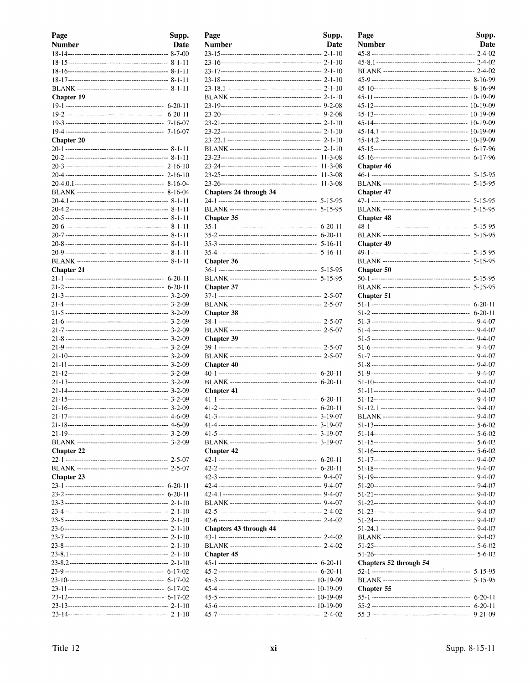| Page              | Supp.         |
|-------------------|---------------|
| <b>Number</b>     | Date          |
|                   |               |
|                   |               |
|                   |               |
|                   |               |
|                   |               |
| Chapter 19        |               |
|                   |               |
|                   | $6 - 20 - 11$ |
|                   |               |
|                   |               |
| <b>Chapter 20</b> |               |
|                   |               |
|                   |               |
|                   |               |
|                   |               |
|                   |               |
|                   |               |
|                   |               |
|                   |               |
|                   |               |
|                   |               |
|                   |               |
|                   |               |
|                   |               |
| <b>Chapter 21</b> |               |
|                   |               |
|                   |               |
|                   |               |
|                   |               |
|                   |               |
|                   |               |
|                   |               |
|                   |               |
|                   |               |
|                   |               |
|                   |               |
|                   |               |
|                   |               |
|                   |               |
|                   |               |
|                   |               |
|                   |               |
|                   |               |
| <b>Chapter 22</b> |               |
|                   |               |
|                   |               |
| Chapter 23        |               |
|                   |               |
|                   |               |
|                   |               |
|                   |               |
|                   |               |
|                   |               |
|                   |               |
|                   |               |
|                   |               |
|                   |               |
|                   |               |
|                   |               |
|                   |               |
|                   |               |
|                   |               |

| Page                   | Supp.   |
|------------------------|---------|
| Number                 | Date    |
|                        |         |
|                        |         |
|                        |         |
|                        |         |
|                        |         |
|                        |         |
|                        |         |
|                        |         |
|                        |         |
|                        |         |
|                        |         |
|                        |         |
|                        |         |
|                        |         |
|                        |         |
|                        |         |
| Chapters 24 through 34 |         |
|                        |         |
|                        |         |
| Chapter 35             |         |
|                        |         |
|                        |         |
|                        |         |
|                        |         |
| Chapter 36             |         |
|                        |         |
|                        |         |
| <b>Chapter 37</b>      |         |
|                        |         |
|                        |         |
| Chapter 38             |         |
|                        |         |
|                        |         |
| Chapter 39             |         |
|                        |         |
|                        |         |
| <b>Chapter 40</b>      |         |
|                        |         |
|                        |         |
| Chapter 41             |         |
|                        |         |
|                        |         |
|                        |         |
|                        |         |
|                        |         |
|                        | 3-19-07 |
| <b>Chapter 42</b>      |         |
|                        |         |
|                        |         |
|                        |         |
|                        |         |
|                        |         |
|                        |         |
|                        |         |
|                        |         |
| Chapters 43 through 44 |         |
|                        |         |
|                        |         |
| <b>Chapter 45</b>      |         |
|                        |         |
|                        |         |
|                        |         |
|                        |         |
|                        |         |
|                        |         |
|                        |         |

| Page                   | Supp.         |
|------------------------|---------------|
| <b>Number</b>          | Date          |
|                        |               |
|                        |               |
|                        |               |
|                        |               |
|                        |               |
|                        |               |
|                        |               |
|                        |               |
|                        |               |
|                        |               |
|                        |               |
|                        |               |
| Chapter 46             |               |
|                        |               |
|                        |               |
| Chapter 47             |               |
|                        | $5 - 15 - 95$ |
|                        |               |
| <b>Chapter 48</b>      |               |
|                        |               |
| <b>Chapter 49</b>      |               |
|                        |               |
|                        |               |
| Chapter 50             |               |
|                        |               |
|                        |               |
| Chapter 51             |               |
|                        |               |
|                        |               |
|                        |               |
|                        |               |
|                        |               |
|                        |               |
|                        |               |
|                        |               |
|                        |               |
|                        |               |
|                        |               |
|                        |               |
|                        |               |
|                        |               |
|                        |               |
|                        |               |
|                        |               |
|                        |               |
|                        |               |
|                        |               |
|                        |               |
|                        |               |
|                        |               |
|                        |               |
|                        |               |
|                        |               |
|                        |               |
|                        |               |
|                        |               |
| Chapters 52 through 54 |               |
|                        |               |
| Chapter 55             |               |
|                        | $6-20-11$     |
|                        | 6-20-11       |
|                        | $9 - 21 - 09$ |
|                        |               |

 $\sim 10^{-10}$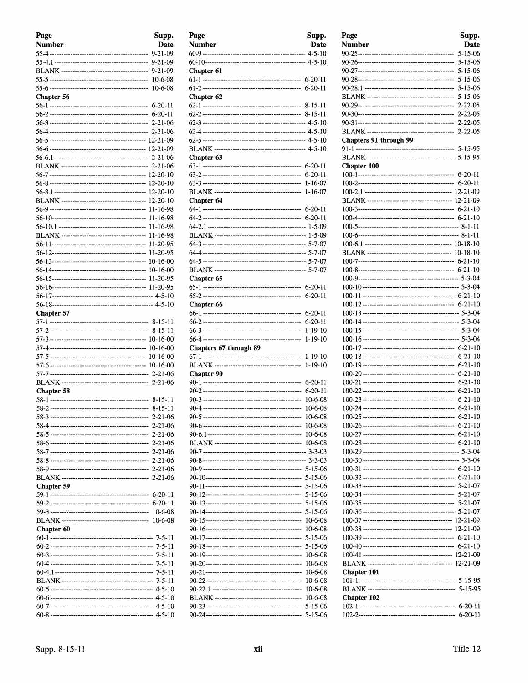| Page              | Supp.                          |
|-------------------|--------------------------------|
| <b>Number</b>     | Date                           |
|                   | $9 - 21 - 09$                  |
|                   | $9 - 21 - 09$                  |
|                   | 9-21-09                        |
|                   | $10 - 6 - 08$                  |
|                   | 10-6-08                        |
| Chapter 56        |                                |
|                   | $6 - 20 - 11$                  |
|                   |                                |
|                   | $2 - 21 - 06$                  |
|                   | $2 - 21 - 06$                  |
|                   |                                |
|                   |                                |
|                   |                                |
|                   |                                |
|                   |                                |
|                   |                                |
|                   |                                |
|                   | 11-16-98                       |
|                   | 11-16-98                       |
|                   | 11-16-98                       |
|                   | 11-16-98                       |
|                   | 11-20-95                       |
|                   | 11-20-95                       |
|                   | $10-16-00$                     |
|                   | 10-16-00                       |
|                   |                                |
|                   |                                |
|                   |                                |
| <b>Chapter 57</b> |                                |
|                   |                                |
|                   |                                |
|                   |                                |
|                   |                                |
|                   |                                |
|                   |                                |
|                   |                                |
|                   |                                |
| <b>Chapter 58</b> |                                |
|                   | 8-15-11                        |
|                   | $8 - 15 - 11$                  |
|                   | 2-21-06                        |
|                   | $2 - 21 - 06$<br>$2 - 21 - 06$ |
|                   | $2 - 21 - 06$                  |
|                   | 2-21-06                        |
|                   |                                |
|                   | $2 - 21 - 06$                  |
|                   | $2 - 21 - 06$                  |
| Chapter 59        |                                |
|                   | 6-20-11                        |
|                   | $6 - 20 - 11$                  |
|                   | $10-6-08$                      |
|                   | $10-6-08$                      |
| Chapter 60        |                                |
|                   |                                |
|                   |                                |
|                   |                                |
|                   |                                |
|                   |                                |
|                   |                                |
|                   |                                |
|                   |                                |
|                   |                                |

| Page                   | Supp.         |
|------------------------|---------------|
| <b>Number</b>          | Date          |
|                        |               |
|                        |               |
| Chapter 61             |               |
|                        |               |
|                        | $6 - 20 - 11$ |
| Chapter 62             |               |
|                        |               |
|                        |               |
|                        |               |
|                        |               |
|                        |               |
|                        |               |
| Chapter 63             |               |
|                        | $6 - 20 - 11$ |
|                        | $6 - 20 - 11$ |
|                        | $1 - 16 - 07$ |
|                        | $1 - 16 - 07$ |
| Chapter 64             |               |
|                        | $6 - 20 - 11$ |
|                        |               |
|                        |               |
|                        |               |
|                        |               |
|                        |               |
|                        |               |
| Chapter 65             |               |
|                        | $6 - 20 - 11$ |
|                        | $6 - 20 - 11$ |
| Chapter 66             |               |
|                        | $6 - 20 - 11$ |
|                        | $6-20-11$     |
|                        | 1-19-10       |
|                        | 1-19-10       |
| Chapters 67 through 89 |               |
|                        | 1-19-10       |
|                        | $1 - 19 - 10$ |
| <b>Chapter 90</b>      |               |
|                        | $6 - 20 - 11$ |
|                        | $6 - 20 - 11$ |
|                        | $10 - 6 - 08$ |
|                        | 10-6-08       |
|                        | 10-6-08       |
|                        | 10-6-08       |
|                        | 10-6-08       |
|                        | 10-6-08       |
|                        |               |
|                        |               |
|                        |               |
|                        | 5-15-06       |
|                        | $5 - 15 - 06$ |
|                        | $5 - 15 - 06$ |
|                        | $5 - 15 - 06$ |
|                        | 5-15-06       |
|                        | 10-6-08       |
|                        | 10-6-08       |
|                        | 5-15-06       |
|                        | 5-15-06       |
|                        | $10 - 6 - 08$ |
|                        | 10-6-08       |
|                        | 10-6-08       |
|                        | 10-6-08       |
|                        | 10-6-08       |
|                        | 10-6-08       |
|                        | 5-15-06       |
|                        | 5-15-06       |
|                        |               |

| Page                   | Supp.         |
|------------------------|---------------|
| Number                 | <b>Date</b>   |
|                        | $5 - 15 - 06$ |
|                        |               |
|                        | 5-15-06       |
|                        | $5 - 15 - 06$ |
|                        | $5 - 15 - 06$ |
|                        | 5-15-06       |
|                        | $2 - 22 - 05$ |
|                        |               |
|                        |               |
| Chapters 91 through 99 |               |
|                        |               |
|                        | 5-15-95       |
| <b>Chapter 100</b>     |               |
|                        |               |
|                        |               |
|                        |               |
|                        |               |
|                        |               |
|                        |               |
|                        |               |
|                        |               |
|                        |               |
|                        |               |
|                        |               |
|                        |               |
|                        |               |
|                        |               |
|                        |               |
|                        |               |
|                        |               |
|                        |               |
|                        |               |
|                        |               |
|                        | $6 - 21 - 10$ |
|                        |               |
|                        | $6 - 21 - 10$ |
|                        | $6 - 21 - 10$ |
|                        | $6 - 21 - 10$ |
|                        | $6 - 21 - 10$ |
|                        | $6 - 21 - 10$ |
|                        |               |
|                        |               |
|                        |               |
|                        |               |
|                        |               |
|                        |               |
|                        | $5 - 21 - 07$ |
|                        |               |
|                        |               |
|                        |               |
|                        |               |
|                        |               |
|                        |               |
|                        |               |
|                        |               |
| Chapter 101            |               |
|                        |               |
|                        | 5-15-95       |
| <b>Chapter 102</b>     |               |
|                        | $6 - 20 - 11$ |
|                        | $6 - 20 - 11$ |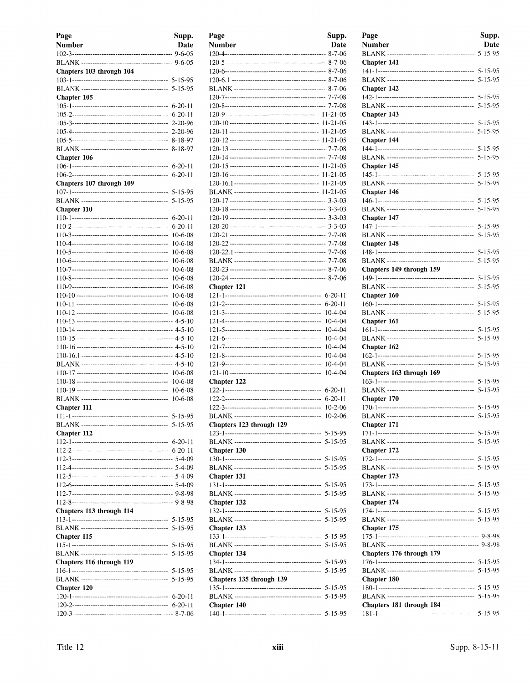| Page                     | Supp.         |
|--------------------------|---------------|
| Number                   | Date          |
|                          |               |
|                          |               |
| Chapters 103 through 104 |               |
|                          | $5 - 15 - 95$ |
| Chapter 105              |               |
|                          | $6 - 20 - 11$ |
|                          | $6 - 20 - 11$ |
|                          | $2 - 20 - 96$ |
|                          | 2-20-96       |
|                          | 8-18-97       |
|                          | 8-18-97       |
| Chapter 106              |               |
|                          | 6-20-11       |
|                          | $6 - 20 - 11$ |
| Chapters 107 through 109 | 5-15-95       |
|                          | 5-15-95       |
| Chapter 110              |               |
|                          | $6 - 20 - 11$ |
|                          | $6 - 20 - 11$ |
|                          | $10 - 6 - 08$ |
|                          | $10-6-08$     |
|                          | $10-6-08$     |
|                          | $10 - 6 - 08$ |
|                          | 10-6-08       |
|                          | $10-6-08$     |
|                          | $10 - 6 - 08$ |
|                          | $10 - 6 - 08$ |
|                          | $10-6-08$     |
|                          | $10 - 6 - 08$ |
|                          |               |
|                          |               |
|                          |               |
|                          |               |
|                          |               |
|                          | $10 - 6 - 08$ |
|                          | $10-6-08$     |
|                          | $10 - 6 - 08$ |
|                          | $10 - 6 - 08$ |
| <b>Chapter 111</b>       |               |
|                          | $5 - 15 - 95$ |
| Chapter 112              |               |
|                          |               |
|                          |               |
|                          |               |
|                          |               |
|                          |               |
|                          |               |
|                          |               |
|                          |               |
| Chapters 113 through 114 |               |
|                          |               |
|                          |               |
| Chapter 115              | $5 - 15 - 95$ |
|                          | $5 - 15 - 95$ |
| Chapters 116 through 119 |               |
|                          | $5 - 15 - 95$ |
|                          | 5-15-95       |
| Chapter 120              |               |
|                          | $6 - 20 - 11$ |
|                          | $6 - 20 - 11$ |
|                          |               |

| Page                                                  | Supp.          |
|-------------------------------------------------------|----------------|
| Number                                                | Date           |
|                                                       |                |
|                                                       |                |
|                                                       |                |
|                                                       |                |
|                                                       |                |
|                                                       |                |
|                                                       |                |
|                                                       |                |
|                                                       |                |
|                                                       |                |
|                                                       |                |
|                                                       |                |
|                                                       |                |
|                                                       |                |
|                                                       | $11 - 21 - 05$ |
|                                                       |                |
|                                                       |                |
|                                                       |                |
|                                                       |                |
|                                                       |                |
|                                                       |                |
|                                                       |                |
|                                                       |                |
|                                                       |                |
|                                                       |                |
|                                                       |                |
|                                                       |                |
|                                                       |                |
| Chapter 121                                           |                |
|                                                       | $6 - 20 - 11$  |
|                                                       | $6 - 20 - 11$  |
|                                                       | $10 - 4 - 04$  |
|                                                       | $10 - 4 - 04$  |
|                                                       | $10 - 4 - 04$  |
|                                                       | $10 - 4 - 04$  |
|                                                       | 10-4-04        |
|                                                       | $10 - 4 - 04$  |
|                                                       | $10-4-04$      |
|                                                       |                |
|                                                       | $10 - 4 - 04$  |
| Chapter 122                                           |                |
|                                                       | 6-20-11        |
|                                                       | $6-20-11$      |
|                                                       | $10 - 2 - 06$  |
| <b>BLANK</b> ----------------------<br>-------------- | $10 - 2 - 06$  |
| Chapters 123 through 129                              |                |
|                                                       |                |
|                                                       |                |
| Chapter 130                                           |                |
|                                                       |                |
|                                                       |                |
| Chapter 131                                           |                |
|                                                       |                |
|                                                       |                |
| Chapter 132                                           |                |
|                                                       |                |
|                                                       |                |
| Chapter 133                                           |                |
|                                                       |                |
|                                                       |                |
|                                                       |                |
| Chapter 134                                           |                |
|                                                       |                |
|                                                       |                |
| Chapters 135 through 139                              |                |
|                                                       |                |
|                                                       |                |
| Chapter 140                                           |                |
|                                                       |                |

| Page<br>Number                                                                          | Supp.<br>Date |
|-----------------------------------------------------------------------------------------|---------------|
|                                                                                         | $5 - 15 - 95$ |
| Chapter 141                                                                             |               |
|                                                                                         | $5 - 15 - 95$ |
| Chapter 142                                                                             |               |
|                                                                                         |               |
| Chapter 143                                                                             |               |
|                                                                                         |               |
|                                                                                         | $5 - 15 - 95$ |
| Chapter 144                                                                             |               |
|                                                                                         |               |
| Chapter 145                                                                             |               |
|                                                                                         |               |
| Chapter 146                                                                             |               |
|                                                                                         |               |
| Chapter 147                                                                             |               |
|                                                                                         |               |
|                                                                                         |               |
| Chapter 148                                                                             |               |
|                                                                                         |               |
| Chapters 149 through 159                                                                |               |
|                                                                                         |               |
| Chapter 160                                                                             |               |
|                                                                                         |               |
|                                                                                         |               |
| Chapter 161                                                                             |               |
|                                                                                         |               |
| Chapter 162                                                                             |               |
|                                                                                         |               |
| Chapters 163 through 169                                                                |               |
|                                                                                         |               |
| Chapter 170                                                                             |               |
|                                                                                         | $5 - 15 - 95$ |
|                                                                                         |               |
| Chapter 171                                                                             |               |
|                                                                                         |               |
| Chapter 172                                                                             |               |
|                                                                                         | $5 - 15 - 95$ |
| Chapter 173                                                                             |               |
|                                                                                         |               |
| Chapter 174                                                                             |               |
|                                                                                         |               |
|                                                                                         |               |
| Chapter 175                                                                             |               |
|                                                                                         |               |
| Chapters 176 through 179                                                                |               |
|                                                                                         | $5 - 15 - 95$ |
| Chapter 180                                                                             |               |
|                                                                                         |               |
|                                                                                         |               |
| Chapters 181 through 184<br>---------------- 5-15-95<br>181-1-------------------------- |               |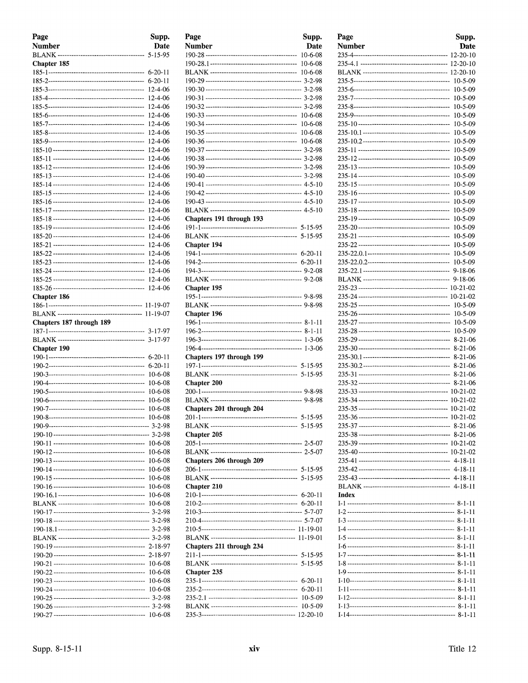| Page                     | Supp.                    |
|--------------------------|--------------------------|
| <b>Number</b>            | <b>Date</b>              |
|                          | $5 - 15 - 95$            |
| Chapter 185              |                          |
|                          | $6 - 20 - 11$            |
|                          | $6 - 20 - 11$            |
|                          | 12-4-06                  |
|                          | 12-4-06<br>12-4-06       |
|                          | 12-4-06                  |
|                          | 12-4-06                  |
|                          | 12-4-06                  |
|                          | 12-4-06                  |
|                          | 12-4-06                  |
|                          | 12-4-06                  |
|                          | 12-4-06                  |
|                          | 12-4-06                  |
|                          | 12-4-06                  |
|                          | 12-4-06                  |
|                          | 12-4-06                  |
|                          | 12-4-06                  |
|                          | 12-4-06<br>12-4-06       |
|                          | 12-4-06                  |
|                          | $12 - 4 - 06$            |
|                          | 12-4-06                  |
|                          | 12-4-06                  |
|                          | 12-4-06                  |
|                          | 12-4-06                  |
|                          | 12-4-06                  |
| Chapter 186              |                          |
|                          |                          |
|                          |                          |
| Chapters 187 through 189 |                          |
|                          |                          |
|                          | $3 - 17 - 97$            |
| Chapter 190              |                          |
|                          | 6-20-11<br>$6 - 20 - 11$ |
|                          | $10-6-08$                |
|                          | 10-6-08                  |
|                          | 10-6-08                  |
|                          | $10 - 6 - 08$            |
|                          | 10-6-08                  |
|                          | $10 - 6 - 08$            |
|                          |                          |
|                          |                          |
|                          | 10-6-08                  |
|                          | 10-6-08                  |
|                          | $10-6-08$                |
|                          | $10-6-08$                |
|                          | 10-6-08<br>10-6-08       |
|                          | $10-6-08$                |
|                          | $10-6-08$                |
|                          |                          |
|                          |                          |
|                          |                          |
|                          |                          |
|                          |                          |
|                          | 2-18-97                  |
|                          | $10-6-08$                |
|                          | 10-6-08                  |
|                          | 10-6-08                  |
|                          | 10-6-08                  |
|                          |                          |
|                          |                          |
|                          |                          |

| Page                      | Supp.         |
|---------------------------|---------------|
| <b>Number</b>             | <b>Date</b>   |
|                           | $10 - 6 - 08$ |
|                           | $10-6-08$     |
|                           | $10 - 6 - 08$ |
|                           |               |
|                           |               |
|                           |               |
|                           |               |
|                           |               |
|                           | $10 - 6 - 08$ |
|                           |               |
|                           |               |
|                           |               |
|                           |               |
|                           |               |
|                           |               |
|                           |               |
|                           |               |
|                           |               |
|                           |               |
| Chapters 191 through 193  |               |
|                           |               |
|                           |               |
| <b>Chapter 194</b>        |               |
|                           |               |
|                           |               |
|                           |               |
|                           |               |
| Chapter 195               |               |
|                           |               |
| Chapter 196               |               |
|                           |               |
|                           |               |
|                           |               |
|                           |               |
| Chapters 197 through 199  |               |
|                           |               |
|                           |               |
| <b>Chapter 200</b>        |               |
|                           |               |
|                           |               |
| Chapters 201 through 204  |               |
| 201-1-------------------- | 5-15-95       |
|                           |               |
| Chapter 205               |               |
|                           |               |
|                           |               |
| Chapters 206 through 209  |               |
|                           |               |
|                           |               |
| Chapter 210               |               |
|                           |               |
|                           |               |
|                           |               |
|                           |               |
|                           |               |
|                           |               |
| Chapters 211 through 234  |               |
|                           |               |
|                           |               |
| Chapter 235               |               |
|                           | 6-20-11       |
|                           | $6 - 20 - 11$ |
|                           | $10 - 5 - 09$ |
|                           | $10 - 5 - 09$ |
|                           |               |

| Page   | Supp.                    |
|--------|--------------------------|
| Number | <b>Date</b>              |
|        |                          |
|        |                          |
|        |                          |
|        | 10-5-09                  |
|        | $10-5-09$                |
|        | 10-5-09                  |
|        | 10-5-09                  |
|        | 10-5-09<br>$10 - 5 - 09$ |
|        | $10 - 5 - 09$            |
|        | $10 - 5 - 09$            |
|        | $10 - 5 - 09$            |
|        | 10-5-09                  |
|        | $10 - 5 - 09$            |
|        | $10 - 5 - 09$            |
|        | 10-5-09                  |
|        | $10 - 5 - 09$            |
|        | $10 - 5 - 09$            |
|        | $10 - 5 - 09$            |
|        | $10 - 5 - 09$            |
|        | $10-5-09$                |
|        | 10-5-09                  |
|        | 10-5-09                  |
|        | $10 - 5 - 09$            |
|        | 10-5-09<br>$9 - 18 - 06$ |
|        | $9 - 18 - 06$            |
|        |                          |
|        |                          |
|        | $10-5-09$                |
|        | $10 - 5 - 09$            |
|        | 10-5-09                  |
|        | $10 - 5 - 09$            |
|        | $8 - 21 - 06$            |
|        | $8-21-06$                |
|        | 8-21-06                  |
|        | $8 - 21 - 06$            |
|        | 8-21-06<br>$8-21-06$     |
|        |                          |
|        |                          |
|        |                          |
|        |                          |
|        |                          |
|        | 8-21-06                  |
|        |                          |
|        |                          |
|        |                          |
|        |                          |
|        |                          |
|        |                          |
| Index  |                          |
|        |                          |
|        |                          |
|        |                          |
|        |                          |
|        |                          |
|        |                          |
|        |                          |
|        |                          |
|        |                          |
|        |                          |
|        |                          |
|        |                          |
|        |                          |